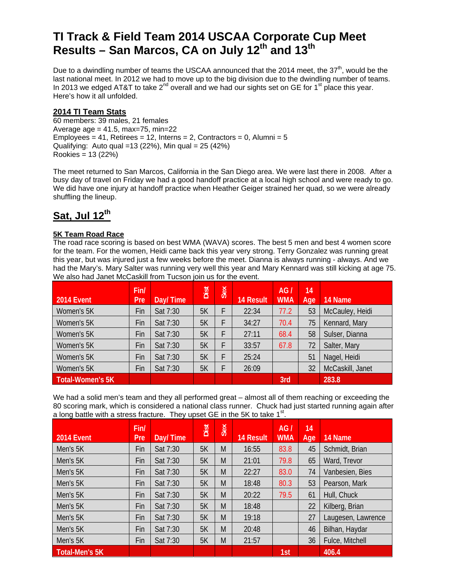# **TI Track & Field Team 2014 USCAA Corporate Cup Meet**  Results – San Marcos, CA on July 12<sup>th</sup> and 13<sup>th</sup>

Due to a dwindling number of teams the USCAA announced that the 2014 meet, the 37<sup>th</sup>, would be the last national meet. In 2012 we had to move up to the big division due to the dwindling number of teams. In 2013 we edged AT&T to take  $2^{nd}$  overall and we had our sights set on GE for 1<sup>st</sup> place this year. Here's how it all unfolded.

#### **2014 TI Team Stats**

60 members: 39 males, 21 females Average  $age = 41.5$ , max=75, min=22 Employees =  $41$ , Retirees =  $12$ , Interns =  $2$ , Contractors =  $0$ , Alumni =  $5$ Qualifying: Auto qual =13 (22%), Min qual = 25 (42%) Rookies = 13 (22%)

The meet returned to San Marcos, California in the San Diego area. We were last there in 2008. After a busy day of travel on Friday we had a good handoff practice at a local high school and were ready to go. We did have one injury at handoff practice when Heather Geiger strained her quad, so we were already shuffling the lineup.

# **Sat, Jul 12th**

#### **5K Team Road Race**

The road race scoring is based on best WMA (WAVA) scores. The best 5 men and best 4 women score for the team. For the women, Heidi came back this year very strong. Terry Gonzalez was running great this year, but was injured just a few weeks before the meet. Dianna is always running - always. And we had the Mary's. Mary Salter was running very well this year and Mary Kennard was still kicking at age 75. We also had Janet McCaskill from Tucson join us for the event.

| <b>2014 Event</b>       | Fin/<br>Pre | Day/Time | Dist | Sex | <b>14 Result</b> | AG/<br><b>WMA</b> | 14<br>Age | 14 Name          |
|-------------------------|-------------|----------|------|-----|------------------|-------------------|-----------|------------------|
| Women's 5K              | Fin         | Sat 7:30 | 5K   |     | 22:34            | 77.2              | 53        | McCauley, Heidi  |
| Women's 5K              | Fin         | Sat 7:30 | 5K   |     | 34:27            | 70.4              | 75        | Kennard, Mary    |
| Women's 5K              | Fin         | Sat 7:30 | 5K   |     | 27:11            | 68.4              | 58        | Sulser, Dianna   |
| Women's 5K              | Fin         | Sat 7:30 | 5K   |     | 33:57            | 67.8              | 72        | Salter, Mary     |
| Women's 5K              | Fin         | Sat 7:30 | 5K   |     | 25:24            |                   | 51        | Nagel, Heidi     |
| Women's 5K              | Fin         | Sat 7:30 | 5K   |     | 26:09            |                   | 32        | McCaskill, Janet |
| <b>Total-Women's 5K</b> |             |          |      |     |                  | 3rd               |           | 283.8            |

We had a solid men's team and they all performed great – almost all of them reaching or exceeding the 80 scoring mark, which is considered a national class runner. Chuck had just started running again after a long battle with a stress fracture. They upset GE in the 5K to take  $1<sup>st</sup>$ .

|                       | Fin/       |          | Dist | Sex |                  | AG/        | 14  |                    |
|-----------------------|------------|----------|------|-----|------------------|------------|-----|--------------------|
| 2014 Event            | <b>Pre</b> | Day/Time |      |     | <b>14 Result</b> | <b>WMA</b> | Age | 14 Name            |
| Men's 5K              | Fin        | Sat 7:30 | 5K   | M   | 16:55            | 83.8       | 45  | Schmidt, Brian     |
| Men's 5K              | Fin        | Sat 7:30 | 5K   | M   | 21:01            | 79.8       | 65  | Ward, Trevor       |
| Men's 5K              | Fin        | Sat 7:30 | 5K   | M   | 22:27            | 83.0       | 74  | Vanbesien, Bies    |
| Men's 5K              | Fin        | Sat 7:30 | 5K   | M   | 18:48            | 80.3       | 53  | Pearson, Mark      |
| Men's 5K              | Fin        | Sat 7:30 | 5K   | M   | 20:22            | 79.5       | 61  | Hull, Chuck        |
| Men's 5K              | Fin        | Sat 7:30 | 5K   | M   | 18:48            |            | 22  | Kilberg, Brian     |
| Men's 5K              | Fin        | Sat 7:30 | 5K   | M   | 19:18            |            | 27  | Laugesen, Lawrence |
| Men's 5K              | Fin        | Sat 7:30 | 5K   | M   | 20:48            |            | 46  | Bilhan, Haydar     |
| Men's 5K              | Fin        | Sat 7:30 | 5K   | M   | 21:57            |            | 36  | Fulce, Mitchell    |
| <b>Total-Men's 5K</b> |            |          |      |     |                  | 1st        |     | 406.4              |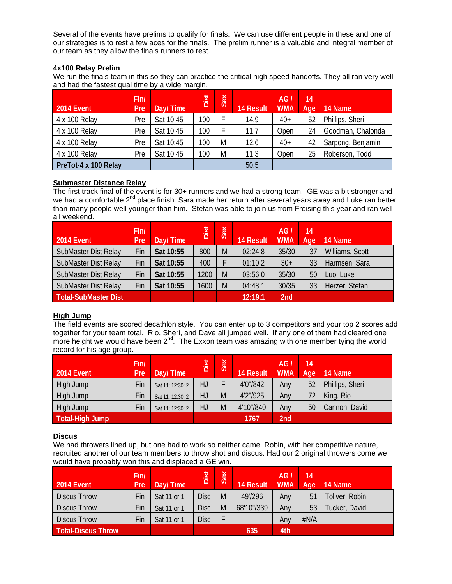Several of the events have prelims to qualify for finals. We can use different people in these and one of our strategies is to rest a few aces for the finals. The prelim runner is a valuable and integral member of our team as they allow the finals runners to rest.

#### **4x100 Relay Prelim**

We run the finals team in this so they can practice the critical high speed handoffs. They all ran very well and had the fastest qual time by a wide margin.

| <b>2014 Event</b>    | Fin/<br>Pre | Day/Time  | Dist | Sex | <b>14 Result</b> | AG/<br><b>WMA</b> | 14<br>Age | 14 Name           |
|----------------------|-------------|-----------|------|-----|------------------|-------------------|-----------|-------------------|
| 4 x 100 Relay        | Pre         | Sat 10:45 | 100  |     | 14.9             | $40+$             | 52        | Phillips, Sheri   |
| 4 x 100 Relay        | Pre         | Sat 10:45 | 100  |     | 11.7             | Open              | 24        | Goodman, Chalonda |
| 4 x 100 Relay        | Pre         | Sat 10:45 | 100  | M   | 12.6             | $40+$             | 42        | Sarpong, Benjamin |
| 4 x 100 Relay        | Pre         | Sat 10:45 | 100  | M   | 11.3             | Open              | 25        | Roberson, Todd    |
| PreTot-4 x 100 Relay |             |           |      |     | 50.5             |                   |           |                   |

#### **Submaster Distance Relay**

The first track final of the event is for 30+ runners and we had a strong team. GE was a bit stronger and we had a comfortable 2<sup>nd</sup> place finish. Sara made her return after several years away and Luke ran better than many people well younger than him. Stefan was able to join us from Freising this year and ran well all weekend.

| <b>2014 Event</b>           | Fin/<br>Pre | Day/Time  | <b>Dist</b> | Sex | <b>14 Result</b> | AG.<br><b>WMA</b> | 14<br>Age | 14 Name         |
|-----------------------------|-------------|-----------|-------------|-----|------------------|-------------------|-----------|-----------------|
| SubMaster Dist Relay        | Fin         | Sat 10:55 | 800         | M   | 02:24.8          | 35/30             | 37        | Williams, Scott |
| SubMaster Dist Relay        | Fin         | Sat 10:55 | 400         |     | 01:10.2          | $30+$             | 33        | Harmsen, Sara   |
| SubMaster Dist Relay        | Fin         | Sat 10:55 | 1200        | M   | 03:56.0          | 35/30             | 50        | Luo, Luke       |
| SubMaster Dist Relay        | Fin         | Sat 10:55 | 1600        | M   | 04:48.1          | 30/35             | 33        | Herzer, Stefan  |
| <b>Total-SubMaster Dist</b> |             |           |             |     | 12:19.1          | 2nd               |           |                 |

#### **High Jump**

The field events are scored decathlon style. You can enter up to 3 competitors and your top 2 scores add together for your team total. Rio, Sheri, and Dave all jumped well. If any one of them had cleared one more height we would have been  $2^{nd}$ . The Exxon team was amazing with one member tying the world record for his age group.

| 2014 Event      | Fin/<br>Pre <sup>'</sup> | Day/Time         | Dist | Sex | <b>14 Result</b> | AG/<br><b>WMA</b> | 14<br>Age <sup>1</sup> | 14 Name         |
|-----------------|--------------------------|------------------|------|-----|------------------|-------------------|------------------------|-----------------|
| High Jump       | Fin                      | Sat 11; 12:30: 2 | HJ   |     | 4'0"/842         | Any               | 52                     | Phillips, Sheri |
| High Jump       | Fin                      | Sat 11; 12:30: 2 | HJ   | M   | 4'2"/925         | Any               |                        | King, Rio       |
| High Jump       | Fin                      | Sat 11; 12:30: 2 | HJ   | M   | 4'10"/840        | Any               | 50                     | Cannon, David   |
| Total-High Jump |                          |                  |      |     | 1767             | 2nd               |                        |                 |

#### **Discus**

We had throwers lined up, but one had to work so neither came. Robin, with her competitive nature, recruited another of our team members to throw shot and discus. Had our 2 original throwers come we would have probably won this and displaced a GE win.

| <b>2014 Event</b>         | Fin/<br>Pre | Day/Time    | Dist        | Sex | <b>14 Result</b> | AGI<br><b>WMA</b> | 14<br>Age | 14 Name        |
|---------------------------|-------------|-------------|-------------|-----|------------------|-------------------|-----------|----------------|
| <b>Discus Throw</b>       | Fin         | Sat 11 or 1 | <b>Disc</b> | M   | 49'/296          | Anv               | 51        | Toliver, Robin |
| <b>Discus Throw</b>       | Fin         | Sat 11 or 1 | <b>Disc</b> | M   | 68'10"/339       | Any               | 53        | Tucker, David  |
| <b>Discus Throw</b>       | Fin         | Sat 11 or 1 | <b>Disc</b> |     |                  | Anv               | #N/A      |                |
| <b>Total-Discus Throw</b> |             |             |             |     | 635              | 4th               |           |                |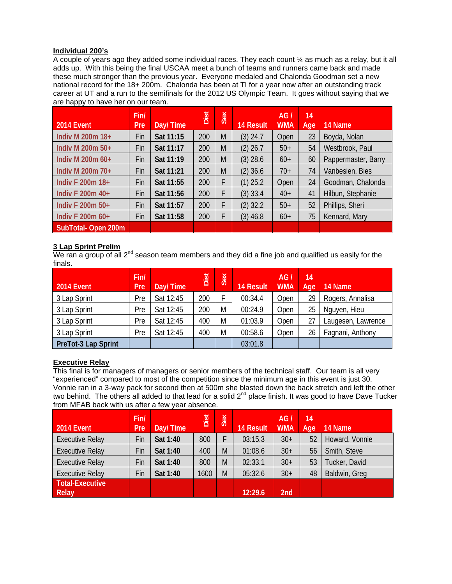#### **Individual 200's**

A couple of years ago they added some individual races. They each count ¼ as much as a relay, but it all adds up. With this being the final USCAA meet a bunch of teams and runners came back and made these much stronger than the previous year. Everyone medaled and Chalonda Goodman set a new national record for the 18+ 200m. Chalonda has been at TI for a year now after an outstanding track career at UT and a run to the semifinals for the 2012 US Olympic Team. It goes without saying that we are happy to have her on our team.

|                    | Fin/       |           | Dist | Sex |                  | AG/        | 14  |                     |
|--------------------|------------|-----------|------|-----|------------------|------------|-----|---------------------|
| 2014 Event         | <b>Pre</b> | Day/Time  |      |     | <b>14 Result</b> | <b>WMA</b> | Age | 14 Name             |
| Indiv M 200m 18+   | Fin        | Sat 11:15 | 200  | M   | $(3)$ 24.7       | Open       | 23  | Boyda, Nolan        |
| Indiv M 200m 50+   | Fin        | Sat 11:17 | 200  | M   | $(2)$ 26.7       | $50+$      | 54  | Westbrook, Paul     |
| Indiv M 200m 60+   | Fin        | Sat 11:19 | 200  | M   | $(3)$ 28.6       | $60+$      | 60  | Pappermaster, Barry |
| Indiv M 200m 70+   | Fin        | Sat 11:21 | 200  | M   | $(2)$ 36.6       | $70+$      | 74  | Vanbesien, Bies     |
| Indiv F 200m 18+   | Fin        | Sat 11:55 | 200  | F   | $(1)$ 25.2       | Open       | 24  | Goodman, Chalonda   |
| Indiv F 200m 40+   | Fin        | Sat 11:56 | 200  | F   | $(3)$ 33.4       | $40+$      | 41  | Hilbun, Stephanie   |
| Indiv F 200m 50+   | Fin        | Sat 11:57 | 200  | F   | $(2)$ 32.2       | $50+$      | 52  | Phillips, Sheri     |
| Indiv F 200m 60+   | Fin        | Sat 11:58 | 200  | F   | $(3)$ 46.8       | $60+$      | 75  | Kennard, Mary       |
| SubTotal-Open 200m |            |           |      |     |                  |            |     |                     |

# **3 Lap Sprint Prelim**

We ran a group of all  $2^{nd}$  season team members and they did a fine job and qualified us easily for the finals.

| <b>2014 Event</b>   | Fin/<br>Pre | Day/Time  | Dist | Sex | <b>14 Result</b> | AG.<br><b>WMA</b> | 14<br>Age | 14 Name            |
|---------------------|-------------|-----------|------|-----|------------------|-------------------|-----------|--------------------|
| 3 Lap Sprint        | Pre         | Sat 12:45 | 200  |     | 00:34.4          | Open              | 29        | Rogers, Annalisa   |
| 3 Lap Sprint        | Pre         | Sat 12:45 | 200  | M   | 00:24.9          | Open              | 25        | Nguyen, Hieu       |
| 3 Lap Sprint        | Pre         | Sat 12:45 | 400  | M   | 01:03.9          | Open              | 27        | Laugesen, Lawrence |
| 3 Lap Sprint        | Pre         | Sat 12:45 | 400  | M   | 00:58.6          | Open              | 26        | Fagnani, Anthony   |
| PreTot-3 Lap Sprint |             |           |      |     | 03:01.8          |                   |           |                    |

# **Executive Relay**

This final is for managers of managers or senior members of the technical staff. Our team is all very "experienced" compared to most of the competition since the minimum age in this event is just 30. Vonnie ran in a 3-way pack for second then at 500m she blasted down the back stretch and left the other two behind. The others all added to that lead for a solid  $2^{nd}$  place finish. It was good to have Dave Tucker from MFAB back with us after a few year absence.

| <b>2014 Event</b>               | Fin/<br>Pre | Day/Time | Dist | Sex | <b>14 Result</b> | AG<br><b>WMA</b> | 14<br>Age | 14 Name        |
|---------------------------------|-------------|----------|------|-----|------------------|------------------|-----------|----------------|
| <b>Executive Relay</b>          | Fin         | Sat 1:40 | 800  |     | 03:15.3          | $30+$            | 52        | Howard, Vonnie |
| <b>Executive Relay</b>          | Fin         | Sat 1:40 | 400  | M   | 01:08.6          | $30+$            | 56        | Smith, Steve   |
| <b>Executive Relay</b>          | Fin         | Sat 1:40 | 800  | M   | 02:33.1          | $30+$            | 53        | Tucker, David  |
| <b>Executive Relay</b>          | Fin         | Sat 1:40 | 1600 | M   | 05:32.6          | $30+$            | 48        | Baldwin, Greg  |
| <b>Total-Executive</b><br>Relay |             |          |      |     | 12:29.6          | 2nd              |           |                |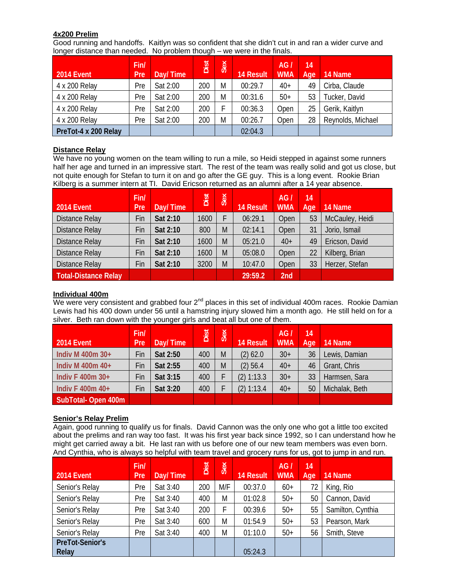#### **4x200 Prelim**

Good running and handoffs. Kaitlyn was so confident that she didn't cut in and ran a wider curve and longer distance than needed. No problem though – we were in the finals.

| <b>2014 Event</b>    | Fin/<br>Pre | Day/Time | Dist | Sex | <b>14 Result</b> | AG/<br><b>WMA</b> | 14<br>Age | 14 Name           |
|----------------------|-------------|----------|------|-----|------------------|-------------------|-----------|-------------------|
| 4 x 200 Relay        | Pre         | Sat 2:00 | 200  | M   | 00:29.7          | $40+$             | 49        | Cirba, Claude     |
| 4 x 200 Relay        | Pre         | Sat 2:00 | 200  | M   | 00:31.6          | $50+$             | 53        | Tucker, David     |
| 4 x 200 Relay        | Pre         | Sat 2:00 | 200  |     | 00:36.3          | Open              | 25        | Gerik, Kaitlyn    |
| 4 x 200 Relay        | Pre         | Sat 2:00 | 200  | M   | 00:26.7          | Open              | 28        | Reynolds, Michael |
| PreTot-4 x 200 Relay |             |          |      |     | 02:04.3          |                   |           |                   |

#### **Distance Relay**

We have no young women on the team willing to run a mile, so Heidi stepped in against some runners half her age and turned in an impressive start. The rest of the team was really solid and got us close, but not quite enough for Stefan to turn it on and go after the GE guy. This is a long event. Rookie Brian Kilberg is a summer intern at TI. David Ericson returned as an alumni after a 14 year absence.

| <b>2014 Event</b>     | Fin/<br>Pre | Day/Time | Dist | Sex | <b>14 Result</b> | AG <sub>I</sub><br><b>WMA</b> | 14<br>Age | 14 Name         |
|-----------------------|-------------|----------|------|-----|------------------|-------------------------------|-----------|-----------------|
| <b>Distance Relay</b> | Fin         | Sat 2:10 | 1600 | F   | 06:29.1          | Open                          | 53        | McCauley, Heidi |
| <b>Distance Relay</b> | Fin         | Sat 2:10 | 800  | M   | 02:14.1          | Open                          | 31        | Jorio, Ismail   |
| <b>Distance Relay</b> | Fin         | Sat 2:10 | 1600 | M   | 05:21.0          | $40+$                         | 49        | Ericson, David  |
| <b>Distance Relay</b> | Fin         | Sat 2:10 | 1600 | M   | 05:08.0          | Open                          | 22        | Kilberg, Brian  |
| <b>Distance Relay</b> | Fin         | Sat 2:10 | 3200 | M   | 10:47.0          | Open                          | 33        | Herzer, Stefan  |
| Total-Distance Relay  |             |          |      |     | 29:59.2          | 2nd                           |           |                 |

#### **Individual 400m**

We were very consistent and grabbed four  $2^{nd}$  places in this set of individual 400m races. Rookie Damian Lewis had his 400 down under 56 until a hamstring injury slowed him a month ago. He still held on for a silver. Beth ran down with the younger girls and beat all but one of them.

| 2014 Event         | Fin/<br>Pre | Day/Time | Dist | Sex | <b>14 Result</b> | AG/<br><b>WMA</b> | 14<br>Age | 14 Name        |
|--------------------|-------------|----------|------|-----|------------------|-------------------|-----------|----------------|
| Indiv M 400m 30+   | Fin         | Sat 2:50 | 400  | M   | $(2)$ 62.0       | $30+$             | 36        | Lewis, Damian  |
| Indiv M 400m 40+   | Fin         | Sat 2:55 | 400  | M   | $(2)$ 56.4       | $40+$             | 46        | Grant, Chris   |
| Indiv F 400m 30+   | Fin         | Sat 3:15 | 400  |     | (2) 1:13.3       | $30+$             | 33        | Harmsen, Sara  |
| Indiv F 400m 40+   | Fin         | Sat 3:20 | 400  |     | (2) 1:13.4       | $40+$             | 50        | Michalak, Beth |
| SubTotal-Open 400m |             |          |      |     |                  |                   |           |                |

#### **Senior's Relay Prelim**

Again, good running to qualify us for finals. David Cannon was the only one who got a little too excited about the prelims and ran way too fast. It was his first year back since 1992, so I can understand how he might get carried away a bit. He last ran with us before one of our new team members was even born. And Cynthia, who is always so helpful with team travel and grocery runs for us, got to jump in and run.

| <b>2014 Event</b>               | Fin/<br>Pre | Day/Time | Dist | Sex | <b>14 Result</b> | AGI<br><b>WMA</b> | $\overline{14}$<br>Age | 14 Name           |
|---------------------------------|-------------|----------|------|-----|------------------|-------------------|------------------------|-------------------|
| Senior's Relay                  | Pre         | Sat 3:40 | 200  | M/F | 00:37.0          | $60+$             | 72                     | King, Rio         |
| Senior's Relay                  | Pre         | Sat 3:40 | 400  | M   | 01:02.8          | $50+$             | 50                     | Cannon, David     |
| Senior's Relay                  | Pre         | Sat 3:40 | 200  | F   | 00:39.6          | $50+$             | 55                     | Samilton, Cynthia |
| Senior's Relay                  | Pre         | Sat 3:40 | 600  | M   | 01:54.9          | $50+$             | 53                     | Pearson, Mark     |
| Senior's Relay                  | Pre         | Sat 3:40 | 400  | M   | 01:10.0          | $50+$             | 56                     | Smith, Steve      |
| <b>PreTot-Senior's</b><br>Relay |             |          |      |     | 05:24.3          |                   |                        |                   |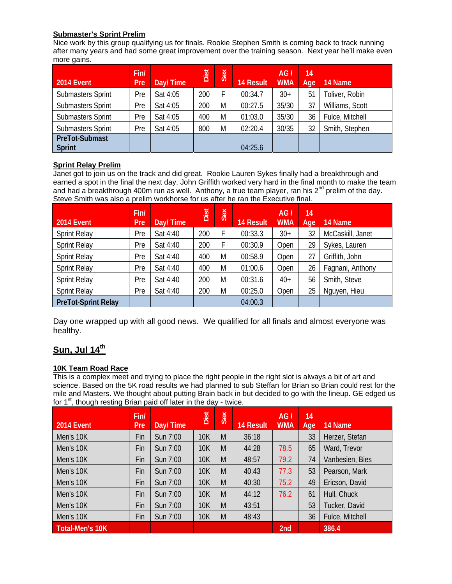# **Submaster's Sprint Prelim**

Nice work by this group qualifying us for finals. Rookie Stephen Smith is coming back to track running after many years and had some great improvement over the training season. Next year he'll make even more gains.

| <b>2014 Event</b>        | Fin/<br>Pre | Day/Time | Dist | Sex | <b>14 Result</b> | AGI<br><b>WMA</b> | 14<br>Age | 14 Name         |
|--------------------------|-------------|----------|------|-----|------------------|-------------------|-----------|-----------------|
| <b>Submasters Sprint</b> | Pre         | Sat 4:05 | 200  | F   | 00:34.7          | $30+$             | 51        | Foliver, Robin  |
| <b>Submasters Sprint</b> | Pre         | Sat 4:05 | 200  | M   | 00:27.5          | 35/30             | 37        | Williams, Scott |
| <b>Submasters Sprint</b> | Pre         | Sat 4:05 | 400  | M   | 01:03.0          | 35/30             | 36        | Fulce, Mitchell |
| <b>Submasters Sprint</b> | Pre         | Sat 4:05 | 800  | M   | 02:20.4          | 30/35             | 32        | Smith, Stephen  |
| <b>PreTot-Submast</b>    |             |          |      |     |                  |                   |           |                 |
| <b>Sprint</b>            |             |          |      |     | 04:25.6          |                   |           |                 |

# **Sprint Relay Prelim**

Janet got to join us on the track and did great. Rookie Lauren Sykes finally had a breakthrough and earned a spot in the final the next day. John Griffith worked very hard in the final month to make the team and had a breakthrough 400m run as well. Anthony, a true team player, ran his  $2^{nd}$  prelim of the day. Steve Smith was also a prelim workhorse for us after he ran the Executive final.

| 2014 Event                 | Fin/<br>Pre | Day/Time | Dist | Sex | <b>14 Result</b> | AG/<br><b>WMA</b> | 14<br>Age | 14 Name          |
|----------------------------|-------------|----------|------|-----|------------------|-------------------|-----------|------------------|
| <b>Sprint Relay</b>        | Pre         | Sat 4:40 | 200  | F   | 00:33.3          | $30+$             | 32        | McCaskill, Janet |
| <b>Sprint Relay</b>        | Pre         | Sat 4:40 | 200  |     | 00:30.9          | Open              | 29        | Sykes, Lauren    |
| <b>Sprint Relay</b>        | Pre         | Sat 4:40 | 400  | M   | 00:58.9          | Open              | 27        | Griffith, John   |
| <b>Sprint Relay</b>        | Pre         | Sat 4:40 | 400  | M   | 01:00.6          | Open              | 26        | Fagnani, Anthony |
| <b>Sprint Relay</b>        | Pre         | Sat 4:40 | 200  | M   | 00:31.6          | $40+$             | 56        | Smith, Steve     |
| <b>Sprint Relay</b>        | Pre         | Sat 4:40 | 200  | M   | 00:25.0          | Open              | 25        | Nguyen, Hieu     |
| <b>PreTot-Sprint Relay</b> |             |          |      |     | 04:00.3          |                   |           |                  |

Day one wrapped up with all good news. We qualified for all finals and almost everyone was healthy.

# **Sun, Jul 14th**

#### **10K Team Road Race**

This is a complex meet and trying to place the right people in the right slot is always a bit of art and science. Based on the 5K road results we had planned to sub Steffan for Brian so Brian could rest for the mile and Masters. We thought about putting Brain back in but decided to go with the lineup. GE edged us for  $1<sup>st</sup>$ , though resting Brian paid off later in the day - twice.

| <b>2014 Event</b> | Fin/<br><b>Pre</b> | Day/Time | Dist       | Sex | <b>14 Result</b> | AG/<br><b>WMA</b> | 14<br>Age | 14 Name         |
|-------------------|--------------------|----------|------------|-----|------------------|-------------------|-----------|-----------------|
| Men's 10K         | Fin                | Sun 7:00 | <b>10K</b> | M   | 36:18            |                   | 33        | Herzer, Stefan  |
| Men's 10K         | Fin                | Sun 7:00 | <b>10K</b> | M   | 44:28            | 78.5              | 65        | Ward, Trevor    |
| Men's 10K         | Fin                | Sun 7:00 | <b>10K</b> | M   | 48:57            | 79.2              | 74        | Vanbesien, Bies |
| Men's 10K         | Fin                | Sun 7:00 | <b>10K</b> | M   | 40:43            | 77.3              | 53        | Pearson, Mark   |
| Men's 10K         | Fin                | Sun 7:00 | <b>10K</b> | M   | 40:30            | 75.2              | 49        | Ericson, David  |
| Men's 10K         | Fin                | Sun 7:00 | <b>10K</b> | M   | 44:12            | 76.2              | 61        | Hull, Chuck     |
| Men's 10K         | Fin                | Sun 7:00 | <b>10K</b> | M   | 43:51            |                   | 53        | Tucker, David   |
| Men's 10K         | Fin                | Sun 7:00 | <b>10K</b> | M   | 48:43            |                   | 36        | Fulce, Mitchell |
| Total-Men's 10K   |                    |          |            |     |                  | 2nd               |           | 386.4           |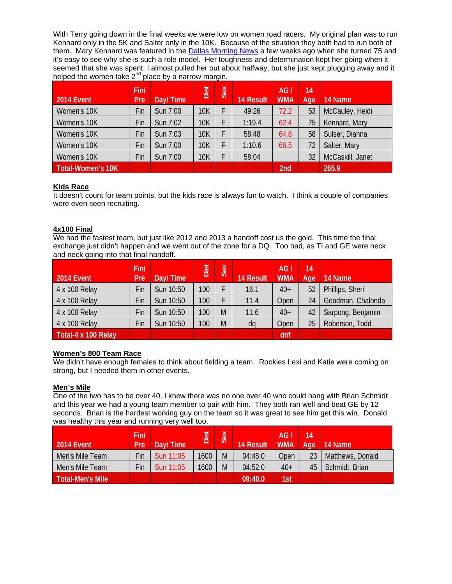With Terry going down in the final weeks we were low on women road racers. My original plan was to run Kennard only in the 5K and Salter only in the 10K. Because of the situation they both had to run both of them. Mary Kennard was featured in the **Dallas Morning News** a few weeks ago when she turned 75 and it's easy to see why she is such a role model. Her toughness and determination kept her going when it seemed that she was spent. I almost pulled her out about halfway, but she just kept plugging away and it helped the women take  $2^{nd}$  place by a narrow margin.

| <b>2014 Event</b> | Fin/<br>Pre | Day/Time | Dist       | Sex | <b>14 Result</b> | AG/<br><b>WMA</b> | 14<br>Age | 14 Name          |
|-------------------|-------------|----------|------------|-----|------------------|-------------------|-----------|------------------|
| Women's 10K       | Fin         | Sun 7:00 | 10K        | F.  | 49:26            | 72.2              | 53        | McCauley, Heidi  |
| Women's 10K       | Fin         | Sun 7:02 | <b>10K</b> |     | 1:19.4           | 62.4              | 75        | Kennard, Mary    |
| Women's 10K       | Fin         | Sun 7:03 | <b>10K</b> |     | 58:48            | 64.8              | 58        | Sulser, Dianna   |
| Women's 10K       | Fin         | Sun 7:00 | <b>10K</b> |     | 1:10.6           | 66.5              | 72        | Salter, Mary     |
| Women's 10K       | Fin         | Sun 7:00 | <b>10K</b> |     | 58:04            |                   | 32        | McCaskill, Janet |
| Total-Women's 10K |             |          |            |     |                  | 2nd               |           | 265.9            |

#### **Kids Race**

It doesn't count for team points, but the kids race is always fun to watch. I think a couple of companies were even seen recruiting.

#### **4x100 Final**

We had the fastest team, but just like 2012 and 2013 a handoff cost us the gold. This time the final exchange just didn't happen and we went out of the zone for a DQ. Too bad, as TI and GE were neck and neck going into that final handoff.

| 2014 Event          | Fin/<br>Pre | Day/Time  | Dist | Sex | 14 Result | AG/<br><b>WMA</b> | 14<br>Age | 14 Name           |
|---------------------|-------------|-----------|------|-----|-----------|-------------------|-----------|-------------------|
| 4 x 100 Relay       | Fin         | Sun 10:50 | 100  |     | 16.1      | $40+$             | 52        | Phillips, Sheri   |
| 4 x 100 Relay       | Fin         | Sun 10:50 | 100  |     | 11.4      | Open              | 24        | Goodman, Chalonda |
| 4 x 100 Relay       | Fin         | Sun 10:50 | 100  | M   | 11.6      | $40+$             | 42        | Sarpong, Benjamin |
| 4 x 100 Relay       | Fin         | Sun 10:50 | 100  | M   | dq        | Open              | 25        | Roberson, Todd    |
| Total-4 x 100 Relay |             |           |      |     |           | dnf               |           |                   |

#### **Women's 800 Team Race**

We didn't have enough females to think about fielding a team. Rookies Lexi and Katie were coming on strong, but I needed them in other events.

#### **Men's Mile**

One of the two has to be over 40. I knew there was no one over 40 who could hang with Brian Schmidt and this year we had a young team member to pair with him. They both ran well and beat GE by 12 seconds. Brian is the hardest working guy on the team so it was great to see him get this win. Donald was healthy this year and running very well too.

| 2014 Event       | Fin/<br>Pre' | Day/Time  | Dist | Sex | <b>14 Result</b> | AG/<br><b>WMA</b> | 14<br>Age | 14 Name          |
|------------------|--------------|-----------|------|-----|------------------|-------------------|-----------|------------------|
| Men's Mile Team  | Fin          | Sun 11:05 | 1600 | M   | 04:48.0          | Open              | 23        | Matthews, Donald |
| Men's Mile Team  | Fin          | Sun 11:05 | 1600 | M   | 04:52.0          | $40+$             | 45        | Schmidt, Brian   |
| Total-Men's Mile |              |           |      |     | 09:40.0          | 1st               |           |                  |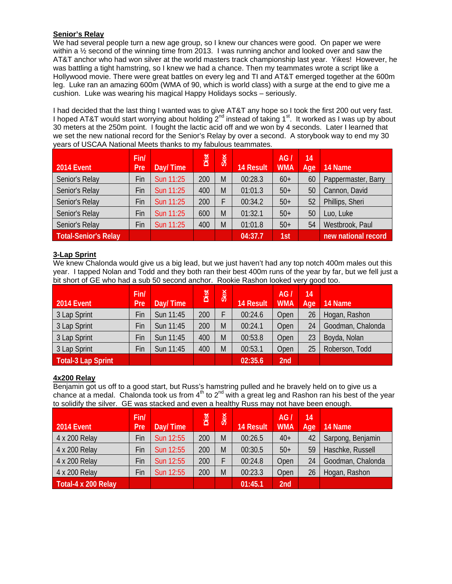# **Senior's Relay**

We had several people turn a new age group, so I knew our chances were good. On paper we were within a ½ second of the winning time from 2013. I was running anchor and looked over and saw the AT&T anchor who had won silver at the world masters track championship last year. Yikes! However, he was battling a tight hamstring, so I knew we had a chance. Then my teammates wrote a script like a Hollywood movie. There were great battles on every leg and TI and AT&T emerged together at the 600m leg. Luke ran an amazing 600m (WMA of 90, which is world class) with a surge at the end to give me a cushion. Luke was wearing his magical Happy Holidays socks – seriously.

I had decided that the last thing I wanted was to give AT&T any hope so I took the first 200 out very fast. I hoped AT&T would start worrying about holding 2<sup>nd</sup> instead of taking 1<sup>st</sup>. It worked as I was up by about 30 meters at the 250m point. I fought the lactic acid off and we won by 4 seconds. Later I learned that we set the new national record for the Senior's Relay by over a second. A storybook way to end my 30 years of USCAA National Meets thanks to my fabulous teammates.

| <b>2014 Event</b>           | Fin/<br>Pre | Day/Time  | Dist | Sex | <b>14 Result</b> | AGI<br><b>WMA</b> | 14<br>Age | 14 Name             |
|-----------------------------|-------------|-----------|------|-----|------------------|-------------------|-----------|---------------------|
| Senior's Relay              | Fin         | Sun 11:25 | 200  | M   | 00:28.3          | $60+$             | 60        | Pappermaster, Barry |
| Senior's Relay              | Fin         | Sun 11:25 | 400  | M   | 01:01.3          | $50+$             | 50        | Cannon, David       |
| Senior's Relay              | Fin         | Sun 11:25 | 200  |     | 00:34.2          | $50+$             | 52        | Phillips, Sheri     |
| Senior's Relay              | Fin         | Sun 11:25 | 600  | M   | 01:32.1          | $50+$             | 50        | Luo, Luke           |
| Senior's Relay              | Fin         | Sun 11:25 | 400  | M   | 01:01.8          | $50+$             | 54        | Westbrook, Paul     |
| <b>Total-Senior's Relay</b> |             |           |      |     | 04:37.7          | 1st               |           | new national record |

#### **3-Lap Sprint**

We knew Chalonda would give us a big lead, but we just haven't had any top notch 400m males out this year. I tapped Nolan and Todd and they both ran their best 400m runs of the year by far, but we fell just a bit short of GE who had a sub 50 second anchor. Rookie Rashon looked very good too.

| 2014 Event                | Fin/<br>Pre | Day/Time  | Dist | Sex | <b>14 Result</b> | AG <sub>1</sub><br><b>WMA</b> | 14<br>Age | 14 Name           |
|---------------------------|-------------|-----------|------|-----|------------------|-------------------------------|-----------|-------------------|
| 3 Lap Sprint              | Fin         | Sun 11:45 | 200  |     | 00:24.6          | Open                          | 26        | Hogan, Rashon     |
| 3 Lap Sprint              | Fin         | Sun 11:45 | 200  | M   | 00:24.1          | Open                          | 24        | Goodman, Chalonda |
| 3 Lap Sprint              | Fin         | Sun 11:45 | 400  | M   | 00:53.8          | Open                          | 23        | Boyda, Nolan      |
| 3 Lap Sprint              | Fin         | Sun 11:45 | 400  | M   | 00:53.1          | Open                          | 25        | Roberson, Todd    |
| <b>Total-3 Lap Sprint</b> |             |           |      |     | 02:35.6          | 2nd                           |           |                   |

#### **4x200 Relay**

Benjamin got us off to a good start, but Russ's hamstring pulled and he bravely held on to give us a chance at a medal. Chalonda took us from  $4<sup>th</sup>$  to  $2<sup>nd</sup>$  with a great leg and Rashon ran his best of the year to solidify the silver. GE was stacked and even a healthy Russ may not have been enough.

| <b>2014 Event</b>   | Fin/<br>Pre | Day/Time  | Dist | Sex | <b>14 Result</b> | AG <sub>1</sub><br><b>WMA</b> | 14<br>Age | 14 Name           |
|---------------------|-------------|-----------|------|-----|------------------|-------------------------------|-----------|-------------------|
| 4 x 200 Relay       | Fin         | Sun 12:55 | 200  | M   | 00:26.5          | $40+$                         | 42        | Sarpong, Benjamin |
| 4 x 200 Relay       | Fin         | Sun 12:55 | 200  | M   | 00:30.5          | $50+$                         | 59        | Haschke, Russell  |
| 4 x 200 Relay       | Fin         | Sun 12:55 | 200  |     | 00:24.8          | Open                          | 24        | Goodman, Chalonda |
| 4 x 200 Relay       | Fin         | Sun 12:55 | 200  | M   | 00:23.3          | Open                          | 26        | Hogan, Rashon     |
| Total-4 x 200 Relay |             |           |      |     | 01:45.1          | 2nd                           |           |                   |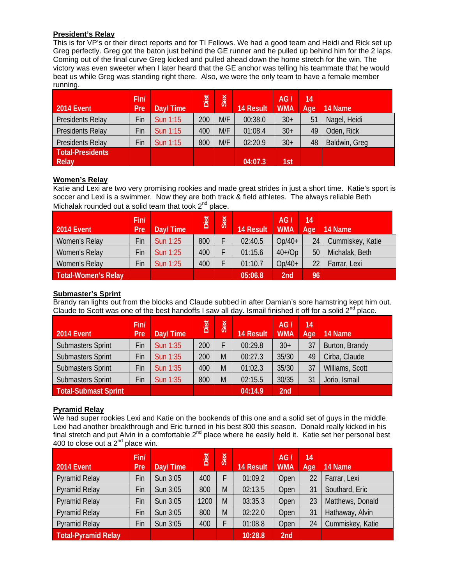#### **President's Relay**

This is for VP's or their direct reports and for TI Fellows. We had a good team and Heidi and Rick set up Greg perfectly. Greg got the baton just behind the GE runner and he pulled up behind him for the 2 laps. Coming out of the final curve Greg kicked and pulled ahead down the home stretch for the win. The victory was even sweeter when I later heard that the GE anchor was telling his teammate that he would beat us while Greg was standing right there. Also, we were the only team to have a female member running.

| 2014 Event              | Fin/<br>Pre | Day/Time | Dist | Sex | <b>14 Result</b> | AG<br><b>WMA</b> | $\overline{14}$<br>Age | 14 Name       |
|-------------------------|-------------|----------|------|-----|------------------|------------------|------------------------|---------------|
| Presidents Relay        | Fin         | Sun 1:15 | 200  | M/F | 00:38.0          | $30+$            | 51                     | Nagel, Heidi  |
| Presidents Relay        | Fin         | Sun 1:15 | 400  | M/F | 01:08.4          | $30+$            | 49                     | Oden, Rick    |
| Presidents Relay        | Fin         | Sun 1:15 | 800  | M/F | 02:20.9          | $30+$            | 48                     | Baldwin, Greg |
| <b>Total-Presidents</b> |             |          |      |     |                  |                  |                        |               |
| Relay                   |             |          |      |     | 04:07.3          | 1st              |                        |               |

#### **Women's Relay**

Katie and Lexi are two very promising rookies and made great strides in just a short time. Katie's sport is soccer and Lexi is a swimmer. Now they are both track & field athletes. The always reliable Beth Michalak rounded out a solid team that took  $2^{nd}$  place.

| 2014 Event                 | Fin/<br><b>Pre</b> | Day/Time        | Dist | Sex | <b>14 Result</b> | AG <sub>1</sub><br><b>WMA</b> | 14<br>Age | 14 Name          |
|----------------------------|--------------------|-----------------|------|-----|------------------|-------------------------------|-----------|------------------|
| Women's Relay              | Fin                | <b>Sun 1:25</b> | 800  |     | 02:40.5          | $Op/40+$                      | 24        | Cummiskey, Katie |
| Women's Relay              | Fin                | <b>Sun 1:25</b> | 400  |     | 01:15.6          | $40+ /Op$                     | 50        | Michalak, Beth   |
| Women's Relay              | Fin                | <b>Sun 1:25</b> | 400  |     | 01:10.7          | $Op/40+$                      | 22        | Farrar, Lexi     |
| <b>Total-Women's Relay</b> |                    |                 |      |     | 05:06.8          | 2nd                           | 96        |                  |

### **Submaster's Sprint**

Brandy ran lights out from the blocks and Claude subbed in after Damian's sore hamstring kept him out. Claude to Scott was one of the best handoffs I saw all day. Ismail finished it off for a solid  $2^{nd}$  place.

| <b>2014 Event</b>        | Fin/<br>Pre | Day/Time | Dist | Sex | <b>14 Result</b> | AGI<br><b>WMA</b> | 14<br>Age | 14 Name         |
|--------------------------|-------------|----------|------|-----|------------------|-------------------|-----------|-----------------|
| <b>Submasters Sprint</b> | Fin         | Sun 1:35 | 200  |     | 00:29.8          | $30+$             | 37        | Burton, Brandy  |
| <b>Submasters Sprint</b> | Fin         | Sun 1:35 | 200  | M   | 00:27.3          | 35/30             | 49        | Cirba, Claude   |
| <b>Submasters Sprint</b> | Fin         | Sun 1:35 | 400  | M   | 01:02.3          | 35/30             | 37        | Williams, Scott |
| <b>Submasters Sprint</b> | Fin         | Sun 1:35 | 800  | M   | 02:15.5          | 30/35             | 31        | Jorio, Ismail   |
| Total-Submast Sprint     |             |          |      |     | 04:14.9          | 2nd               |           |                 |

# **Pyramid Relay**

We had super rookies Lexi and Katie on the bookends of this one and a solid set of guys in the middle. Lexi had another breakthrough and Eric turned in his best 800 this season. Donald really kicked in his final stretch and put Alvin in a comfortable  $2^{nd}$  place where he easily held it. Katie set her personal best 400 to close out a  $2^{nd}$  place win.

| <b>2014 Event</b>          | Fin/<br>Pre | Day/Time | Dist | Sex | <b>14 Result</b> | AGI<br><b>WMA</b> | 14<br>Age | 14 Name          |
|----------------------------|-------------|----------|------|-----|------------------|-------------------|-----------|------------------|
| <b>Pyramid Relay</b>       | Fin         | Sun 3:05 | 400  | F   | 01:09.2          | Open              | 22        | Farrar, Lexi     |
| <b>Pyramid Relay</b>       | Fin         | Sun 3:05 | 800  | M   | 02:13.5          | Open              | 31        | Southard, Eric   |
| <b>Pyramid Relay</b>       | Fin         | Sun 3:05 | 1200 | M   | 03:35.3          | Open              | 23        | Matthews, Donald |
| <b>Pyramid Relay</b>       | Fin         | Sun 3:05 | 800  | M   | 02:22.0          | Open              | 31        | Hathaway, Alvin  |
| <b>Pyramid Relay</b>       | Fin         | Sun 3:05 | 400  | F   | 01:08.8          | Open              | 24        | Cummiskey, Katie |
| <b>Total-Pyramid Relay</b> |             |          |      |     | 10:28.8          | 2nd               |           |                  |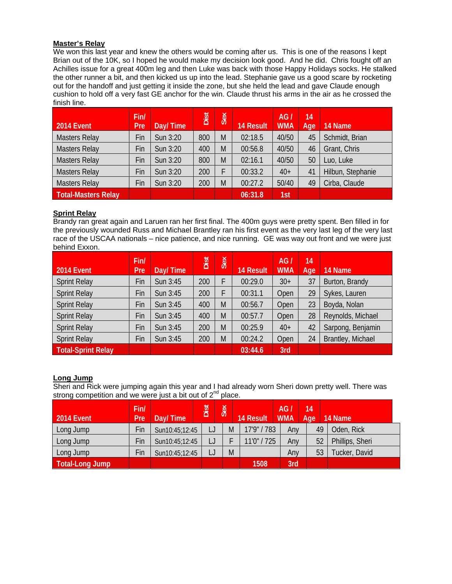#### **Master's Relay**

We won this last year and knew the others would be coming after us. This is one of the reasons I kept Brian out of the 10K, so I hoped he would make my decision look good. And he did. Chris fought off an Achilles issue for a great 400m leg and then Luke was back with those Happy Holidays socks. He stalked the other runner a bit, and then kicked us up into the lead. Stephanie gave us a good scare by rocketing out for the handoff and just getting it inside the zone, but she held the lead and gave Claude enough cushion to hold off a very fast GE anchor for the win. Claude thrust his arms in the air as he crossed the finish line.

| 2014 Event                 | Fin/<br>Pre | Day/Time | Dist | Sex | <b>14 Result</b> | AG/<br><b>WMA</b> | 14<br>Age | 14 Name           |
|----------------------------|-------------|----------|------|-----|------------------|-------------------|-----------|-------------------|
| <b>Masters Relay</b>       | Fin         | Sun 3:20 | 800  | M   | 02:18.5          | 40/50             | 45        | Schmidt, Brian    |
| <b>Masters Relay</b>       | Fin         | Sun 3:20 | 400  | M   | 00:56.8          | 40/50             | 46        | Grant, Chris      |
| <b>Masters Relay</b>       | Fin         | Sun 3:20 | 800  | M   | 02:16.1          | 40/50             | 50        | Luo, Luke         |
| <b>Masters Relay</b>       | Fin         | Sun 3:20 | 200  |     | 00:33.2          | $40+$             | 41        | Hilbun, Stephanie |
| <b>Masters Relay</b>       | Fin         | Sun 3:20 | 200  | M   | 00:27.2          | 50/40             | 49        | Cirba, Claude     |
| <b>Total-Masters Relay</b> |             |          |      |     | 06:31.8          | 1st               |           |                   |

#### **Sprint Relay**

Brandy ran great again and Laruen ran her first final. The 400m guys were pretty spent. Ben filled in for the previously wounded Russ and Michael Brantley ran his first event as the very last leg of the very last race of the USCAA nationals – nice patience, and nice running. GE was way out front and we were just behind Exxon.

| 2014 Event                | Fin/<br><b>Pre</b> | Day/Time | Dist | Sex | <b>14 Result</b> | AG/<br><b>WMA</b> | 14<br>Age | 14 Name           |
|---------------------------|--------------------|----------|------|-----|------------------|-------------------|-----------|-------------------|
| <b>Sprint Relay</b>       | Fin                | Sun 3:45 | 200  |     | 00:29.0          | $30+$             | 37        | Burton, Brandy    |
| <b>Sprint Relay</b>       | Fin                | Sun 3:45 | 200  |     | 00:31.1          | Open              | 29        | Sykes, Lauren     |
| <b>Sprint Relay</b>       | Fin                | Sun 3:45 | 400  | M   | 00:56.7          | Open              | 23        | Boyda, Nolan      |
| <b>Sprint Relay</b>       | Fin                | Sun 3:45 | 400  | M   | 00:57.7          | Open              | 28        | Reynolds, Michael |
| <b>Sprint Relay</b>       | Fin                | Sun 3:45 | 200  | M   | 00:25.9          | $40+$             | 42        | Sarpong, Benjamin |
| <b>Sprint Relay</b>       | Fin                | Sun 3:45 | 200  | M   | 00:24.2          | Open              | 24        | Brantley, Michael |
| <b>Total-Sprint Relay</b> |                    |          |      |     | 03:44.6          | 3rd               |           |                   |

#### **Long Jump**

Sheri and Rick were jumping again this year and I had already worn Sheri down pretty well. There was strong competition and we were just a bit out of 2<sup>nd</sup> place.

| 2014 Event      | Fin/<br><b>Pre</b> | Day/Time       | Dist | Sex | <b>14 Result</b> | AG/<br><b>WMA</b> | 14<br>Age | 14 Name         |
|-----------------|--------------------|----------------|------|-----|------------------|-------------------|-----------|-----------------|
| Long Jump       | Fin                | Sun10:45;12:45 | IJ   | M   | 17'9" / 783      | Any               | 49        | Oden, Rick      |
| Long Jump       | Fin                | Sun10:45;12:45 | IJ   |     | 11'0" / 725      | Any               | 52        | Phillips, Sheri |
| Long Jump       | Fin                | Sun10:45;12:45 | IJ   | M   |                  | Any               | 53        | Tucker, David   |
| Total-Long Jump |                    |                |      |     | 1508             | 3rd               |           |                 |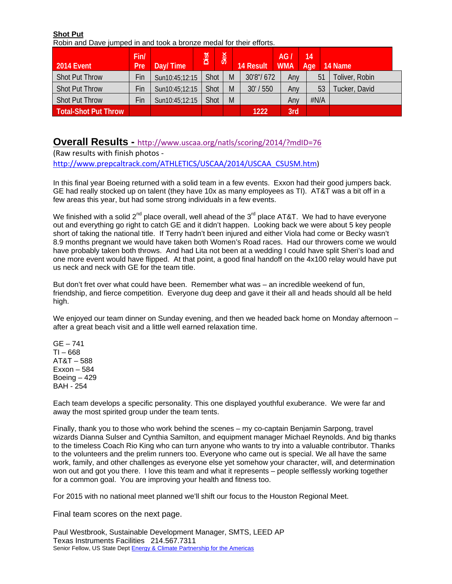**Shot Put** 

Robin and Dave jumped in and took a bronze medal for their efforts.

| 2014 Event                  | Fin/<br>Pre | Day/Time       | Dist | Sex | <b>14 Result</b> | AG/<br><b>WMA</b> | 14<br>Age |      | 14 Name        |
|-----------------------------|-------------|----------------|------|-----|------------------|-------------------|-----------|------|----------------|
| <b>Shot Put Throw</b>       | Fin         | Sun10:45;12:15 | Shot | M   | 30'8"/672        | Any               |           | 51   | Toliver, Robin |
| <b>Shot Put Throw</b>       | Fin         | Sun10:45;12:15 | Shot | M   | /550<br>30'      | Any               |           | 53   | Tucker, David  |
| <b>Shot Put Throw</b>       | Fin         | Sun10:45;12:15 | Shot | M   |                  | Anv               |           | #N/A |                |
| <b>Total-Shot Put Throw</b> |             |                |      |     | 1222             | 3rd               |           |      |                |

# **Overall Results -** http://www.uscaa.org/natls/scoring/2014/?mdID=76

(Raw results with finish photos ‐ http://www.prepcaltrack.com/ATHLETICS/USCAA/2014/USCAA\_CSUSM.htm)

In this final year Boeing returned with a solid team in a few events. Exxon had their good jumpers back. GE had really stocked up on talent (they have 10x as many employees as TI). AT&T was a bit off in a few areas this year, but had some strong individuals in a few events.

We finished with a solid  $2^{nd}$  place overall, well ahead of the  $3^{rd}$  place AT&T. We had to have everyone out and everything go right to catch GE and it didn't happen. Looking back we were about 5 key people short of taking the national title. If Terry hadn't been injured and either Viola had come or Becky wasn't 8.9 months pregnant we would have taken both Women's Road races. Had our throwers come we would have probably taken both throws. And had Lita not been at a wedding I could have split Sheri's load and one more event would have flipped. At that point, a good final handoff on the 4x100 relay would have put us neck and neck with GE for the team title.

But don't fret over what could have been. Remember what was – an incredible weekend of fun, friendship, and fierce competition. Everyone dug deep and gave it their all and heads should all be held high.

We enjoyed our team dinner on Sunday evening, and then we headed back home on Monday afternoon after a great beach visit and a little well earned relaxation time.

 $GE - 741$ TI – 668 AT&T – 588  $Exxon - 584$ Boeing  $-429$ BAH - 254

Each team develops a specific personality. This one displayed youthful exuberance. We were far and away the most spirited group under the team tents.

Finally, thank you to those who work behind the scenes – my co-captain Benjamin Sarpong, travel wizards Dianna Sulser and Cynthia Samilton, and equipment manager Michael Reynolds. And big thanks to the timeless Coach Rio King who can turn anyone who wants to try into a valuable contributor. Thanks to the volunteers and the prelim runners too. Everyone who came out is special. We all have the same work, family, and other challenges as everyone else yet somehow your character, will, and determination won out and got you there. I love this team and what it represents – people selflessly working together for a common goal. You are improving your health and fitness too.

For 2015 with no national meet planned we'll shift our focus to the Houston Regional Meet.

Final team scores on the next page.

Paul Westbrook, Sustainable Development Manager, SMTS, LEED AP Texas Instruments Facilities 214.567.7311 Senior Fellow, US State Dept Energy & Climate Partnership for the Americas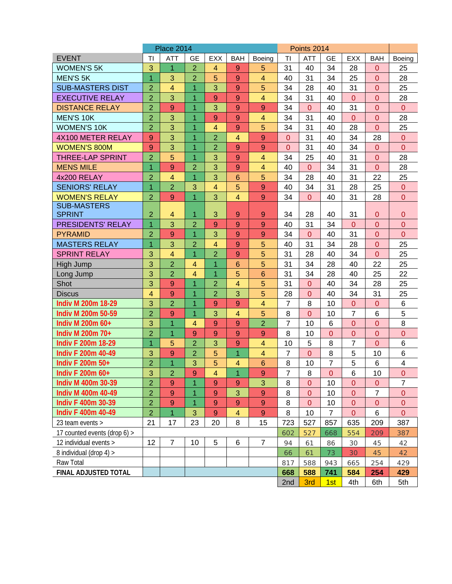|                                  |                     | <b>Place 2014</b>   |                                  |                     |                         |                  |                | Points 2014    |                  |                |                                  |                |
|----------------------------------|---------------------|---------------------|----------------------------------|---------------------|-------------------------|------------------|----------------|----------------|------------------|----------------|----------------------------------|----------------|
| <b>EVENT</b>                     | TI                  | <b>ATT</b>          | <b>GE</b>                        | <b>EXX</b>          | <b>BAH</b>              | Boeing           | TI             | <b>ATT</b>     | <b>GE</b>        | <b>EXX</b>     | <b>BAH</b>                       | Boeing         |
| <b>WOMEN'S 5K</b>                | 3                   | 1                   | $\overline{2}$                   | $\overline{4}$      | 9                       | 5                | 31             | 40             | 34               | 28             | $\Omega$                         | 25             |
| <b>MEN'S 5K</b>                  | 1                   | 3                   | $\overline{2}$                   | 5                   | 9                       | $\overline{4}$   | 40             | 31             | 34               | 25             | $\Omega$                         | 28             |
| <b>SUB-MASTERS DIST</b>          | $\overline{2}$      | 4                   | $\overline{1}$                   | 3                   | 9                       | 5                | 34             | 28             | 40               | 31             | $\Omega$                         | 25             |
| <b>EXECUTIVE RELAY</b>           | $\overline{2}$      | 3                   | 1                                | 9                   | 9                       | $\overline{4}$   | 34             | 31             | 40               | $\overline{0}$ | $\overline{0}$                   | 28             |
| <b>DISTANCE RELAY</b>            | $\overline{2}$      | 9                   | $\overline{1}$                   | 3                   | 9                       | $\overline{9}$   | 34             | $\overline{0}$ | 40               | 31             | $\overline{0}$                   | $\overline{0}$ |
| <b>MEN'S 10K</b>                 | $\overline{2}$      | 3                   | $\overline{1}$                   | 9                   | 9                       | $\overline{4}$   | 34             | 31             | 40               | $\overline{0}$ | $\overline{0}$                   | 28             |
| <b>WOMEN'S 10K</b>               | $\overline{2}$      | 3                   | $\overline{1}$                   | 4                   | 9                       | 5                | 34             | 31             | 40               | 28             | $\overline{0}$                   | 25             |
| 4X100 METER RELAY                | 9                   | 3                   | 1                                | $\overline{2}$      | $\overline{4}$          | 9                | $\mathbf{0}$   | 31             | 40               | 34             | 28                               | $\overline{0}$ |
| <b>WOMEN'S 800M</b>              | $\overline{9}$      | 3                   | $\overline{1}$                   | $\overline{2}$      | 9                       | $\overline{9}$   | $\overline{0}$ | 31             | 40               | 34             | $\Omega$                         | $\overline{0}$ |
| <b>THREE-LAP SPRINT</b>          | $\overline{2}$      | 5                   | $\overline{1}$                   | 3                   | 9                       | $\overline{4}$   | 34             | 25             | 40               | 31             | $\overline{0}$                   | 28             |
| <b>MENS MILE</b>                 | $\overline{1}$      | 9                   | $\overline{2}$                   | 3                   | 9                       | $\overline{4}$   | 40             | $\Omega$       | 34               | 31             | $\Omega$                         | 28             |
| 4x200 RELAY                      | $\overline{2}$      | $\overline{4}$      | $\overline{1}$                   | 3                   | 6                       | 5                | 34             | 28             | 40               | 31             | 22                               | 25             |
| <b>SENIORS' RELAY</b>            | $\overline{1}$      | $\overline{2}$      | 3                                | 4                   | 5                       | $\overline{9}$   | 40             | 34             | 31               | 28             | 25                               | $\theta$       |
| <b>WOMEN'S RELAY</b>             | $\overline{2}$      | 9                   | $\overline{1}$                   | 3                   | $\overline{4}$          | 9                | 34             | $\overline{0}$ | 40               | 31             | 28                               | $\overline{0}$ |
| <b>SUB-MASTERS</b>               |                     |                     |                                  |                     |                         |                  |                |                |                  |                |                                  |                |
| <b>SPRINT</b>                    | $\overline{2}$      | 4                   | 1                                | 3                   | 9                       | $\overline{9}$   | 34             | 28             | 40               | 31             | $\overline{0}$                   | 0              |
| <b>PRESIDENTS' RELAY</b>         | $\overline{1}$      | 3                   | $\overline{2}$                   | 9                   | 9                       | 9                | 40             | 31             | 34               | $\overline{0}$ | $\overline{0}$                   | $\overline{0}$ |
| <b>PYRAMID</b>                   | $\overline{2}$      | 9                   | $\overline{1}$                   | 3                   | 9                       | 9                | 34             | $\overline{0}$ | 40               | 31             | $\overline{0}$                   | $\mathbf{0}$   |
| <b>MASTERS RELAY</b>             | $\overline{1}$<br>3 | 3<br>$\overline{4}$ | $\overline{2}$<br>$\overline{1}$ | 4<br>$\overline{2}$ | 9                       | 5<br>5           | 40             | 31             | 34               | 28<br>34       | $\overline{0}$<br>$\overline{0}$ | 25<br>25       |
| <b>SPRINT RELAY</b><br>High Jump | 3                   | $\overline{2}$      | $\overline{4}$                   | $\overline{1}$      | 9<br>$6\phantom{1}$     | 5                | 31<br>31       | 28<br>34       | 40<br>28         | 40             | 22                               | 25             |
| Long Jump                        | 3                   | $\overline{2}$      | 4                                | $\overline{1}$      | 5                       | 6                | 31             | 34             | 28               | 40             | 25                               | 22             |
| Shot                             | 3                   | 9                   | 1                                | $\overline{2}$      | $\overline{\mathbf{4}}$ | 5                | 31             | $\overline{0}$ | 40               | 34             | 28                               | 25             |
| <b>Discus</b>                    | $\overline{4}$      | 9                   | $\overline{1}$                   | $\overline{2}$      | 3                       | 5                | 28             | $\overline{0}$ | 40               | 34             | 31                               | 25             |
| Indiv M 200m 18-29               | 3                   | $\overline{2}$      | $\overline{1}$                   | 9                   | 9                       | $\overline{4}$   | $\overline{7}$ | 8              | 10               | $\overline{0}$ | $\overline{0}$                   | 6              |
| Indiv M 200m 50-59               | $\overline{2}$      | 9                   | $\overline{1}$                   | 3                   | 4                       | 5                | 8              | $\overline{0}$ | 10               | $\overline{7}$ | 6                                | 5              |
| Indiv M 200m 60+                 | 3                   | $\overline{1}$      | $\overline{4}$                   | 9                   | 9                       | $\overline{2}$   | $\overline{7}$ | 10             | 6                | $\overline{0}$ | $\overline{0}$                   | 8              |
| Indiv M 200m 70+                 | $\overline{2}$      | $\overline{1}$      | 9                                | 9                   | 9                       | $\overline{9}$   | 8              | 10             | $\overline{0}$   | $\overline{0}$ | $\overline{0}$                   | $\overline{0}$ |
| <b>Indiv F 200m 18-29</b>        | $\overline{1}$      | 5                   | $\overline{2}$                   | 3                   | 9                       | $\overline{4}$   | 10             | 5              | 8                | $\overline{7}$ | $\overline{0}$                   | 6              |
| <b>Indiv F 200m 40-49</b>        | 3                   | 9                   | $\overline{2}$                   | 5                   | $\overline{1}$          | $\overline{4}$   | $\overline{7}$ | $\overline{0}$ | 8                | 5              | 10                               | 6              |
| Indiv F 200m 50+                 | $\overline{2}$      | $\overline{1}$      | 3                                | 5                   | 4                       | 6                | 8              | 10             | 7                | 5              | 6                                | 4              |
| Indiv F 200m 60+                 | 3                   | $\overline{2}$      | 9                                | 4                   | $\overline{1}$          | 9                | $\overline{7}$ | $\bf8$         | $\boldsymbol{0}$ | 6              | 10                               | $\mathbf 0$    |
| Indiv M 400m 30-39               | $\overline{2}$      | 9                   | $\overline{1}$                   | 9                   | 9                       | 3                | 8              | $\overline{0}$ | 10               | $\overline{0}$ | $\Omega$                         | $\overline{7}$ |
| Indiv M 400m 40-49               | 2                   | 9                   | 1                                | 9                   | 3                       | $\boldsymbol{9}$ | 8              | $\overline{0}$ | 10               | 0              | $\overline{7}$                   | $\mathbf 0$    |
| Indiv F 400m 30-39               | $\overline{2}$      | $9$                 | 1                                | 9                   | 9                       | $9$              | 8              | $\overline{0}$ | 10               | 0              | $\mathbf{0}$                     | $\overline{0}$ |
| <b>Indiv F 400m 40-49</b>        | $\overline{2}$      | $\overline{1}$      | 3                                | $9$                 | 4                       | $\boldsymbol{9}$ | 8              | 10             | $\overline{7}$   | 0              | 6                                | $\overline{0}$ |
| 23 team events >                 | 21                  | 17                  | 23                               | 20                  | 8                       | 15               | 723            | 527            | 857              | 635            | 209                              | 387            |
| 17 counted events (drop $6$ ) >  |                     |                     |                                  |                     |                         |                  | 602            | 527            | 668              | 554            | 209                              | 387            |
| 12 individual events >           | 12                  | $\overline{7}$      | 10                               | 5                   | 6                       | $\overline{7}$   | 94             | 61             | 86               | 30             | 45                               | 42             |
| 8 individual (drop 4) >          |                     |                     |                                  |                     |                         |                  | 66             | 61             | 73               | 30             | 45                               | 42             |
| Raw Total                        |                     |                     |                                  |                     |                         |                  | 817            | 588            | 943              | 665            | 254                              | 429            |
| FINAL ADJUSTED TOTAL             |                     |                     |                                  |                     |                         |                  | 668            | 588            | 741              | 584            | 254                              | 429            |
|                                  |                     |                     |                                  |                     |                         |                  | 2nd            | 3rd            | 1st              | 4th            | 6th                              | 5th            |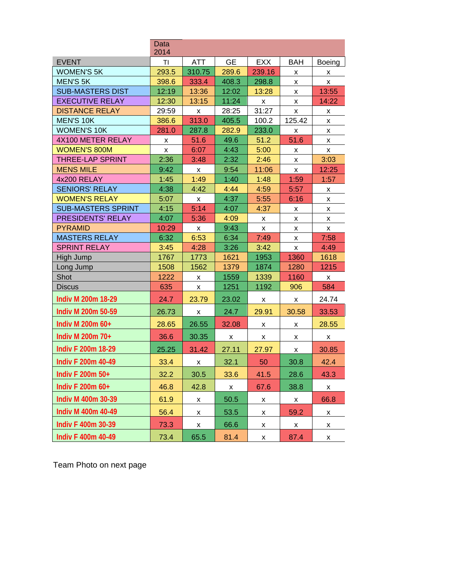|                           | <b>Data</b><br>2014 |                |           |                    |            |        |
|---------------------------|---------------------|----------------|-----------|--------------------|------------|--------|
| <b>EVENT</b>              | TI                  | <b>ATT</b>     | <b>GE</b> | <b>EXX</b>         | <b>BAH</b> | Boeing |
| <b>WOMEN'S 5K</b>         | 293.5               | 310.75         | 289.6     | 239.16             | x          | x      |
| <b>MEN'S 5K</b>           | 398.6               | 333.4          | 408.3     | 298.8              | x          | x      |
| <b>SUB-MASTERS DIST</b>   | 12:19               | 13:36          | 12:02     | 13:28              | x          | 13:55  |
| <b>EXECUTIVE RELAY</b>    | 12:30               | 13:15          | 11:24     | X                  | x          | 14:22  |
| <b>DISTANCE RELAY</b>     | 29:59               | $\pmb{\times}$ | 28:25     | 31:27              | x          | x      |
| <b>MEN'S 10K</b>          | 386.6               | 313.0          | 405.5     | 100.2              | 125.42     | X      |
| <b>WOMEN'S 10K</b>        | 281.0               | 287.8          | 282.9     | 233.0              | x          | x      |
| 4X100 METER RELAY         | X                   | 51.6           | 49.6      | 51.2               | 51.6       | x      |
| <b>WOMEN'S 800M</b>       | X                   | 6:07           | 4:43      | 5:00               | x          | X      |
| <b>THREE-LAP SPRINT</b>   | 2:36                | 3:48           | 2:32      | 2:46               | x          | 3:03   |
| <b>MENS MILE</b>          | 9:42                | X              | 9:54      | 11:06              | X          | 12:25  |
| 4x200 RELAY               | 1:45                | 1:49           | 1:40      | 1:48               | 1:59       | 1:57   |
| <b>SENIORS' RELAY</b>     | 4:38                | 4:42           | 4:44      | 4:59               | 5:57       | X      |
| <b>WOMEN'S RELAY</b>      | 5:07                | X              | 4:37      | 5:55               | 6:16       | X      |
| <b>SUB-MASTERS SPRINT</b> | 4:15                | 5:14           | 4:07      | 4:37               | X          | X      |
| PRESIDENTS' RELAY         | 4:07                | 5:36           | 4:09      | X                  | X          | x      |
| <b>PYRAMID</b>            | 10:29               | X              | 9:43      | $\pmb{\mathsf{x}}$ | x          | X      |
| <b>MASTERS RELAY</b>      | 6:32                | 6:53           | 6:34      | 7:49               | x          | 7:58   |
| <b>SPRINT RELAY</b>       | 3:45                | 4:28           | 3:26      | 3:42               | x          | 4:49   |
| High Jump                 | 1767                | 1773           | 1621      | 1953               | 1360       | 1618   |
| Long Jump                 | 1508                | 1562           | 1379      | 1874               | 1280       | 1215   |
| Shot                      | 1222                | x              | 1559      | 1339               | 1160       | X      |
| <b>Discus</b>             | 635                 | X              | 1251      | 1192               | 906        | 584    |
| Indiv M 200m 18-29        | 24.7                | 23.79          | 23.02     | X                  | X          | 24.74  |
| Indiv M 200m 50-59        | 26.73               | x              | 24.7      | 29.91              | 30.58      | 33.53  |
| Indiv M 200m 60+          | 28.65               | 26.55          | 32.08     | X                  | x          | 28.55  |
| Indiv M 200m 70+          | 36.6                | 30.35          | X         | X                  | x          | x      |
| <b>Indiv F 200m 18-29</b> | 25.25               | 31.42          | 27.11     | 27.97              | x          | 30.85  |
| Indiv F 200m 40-49        | 33.4                | x              | 32.1      | 50                 | 30.8       | 42.4   |
| Indiv F 200m 50+          | 32.2                | 30.5           | 33.6      | 41.5               | 28.6       | 43.3   |
| Indiv F 200m 60+          | 46.8                | 42.8           | X         | 67.6               | 38.8       | X      |
| Indiv M 400m 30-39        | 61.9                | X              | 50.5      | X                  | X          | 66.8   |
| Indiv M 400m 40-49        | 56.4                | X              | 53.5      | X                  | 59.2       | x      |
| Indiv F 400m 30-39        | 73.3                | X              | 66.6      | X                  | x          | x      |
| <b>Indiv F 400m 40-49</b> | 73.4                | 65.5           | 81.4      | X                  | 87.4       | x      |

Team Photo on next page